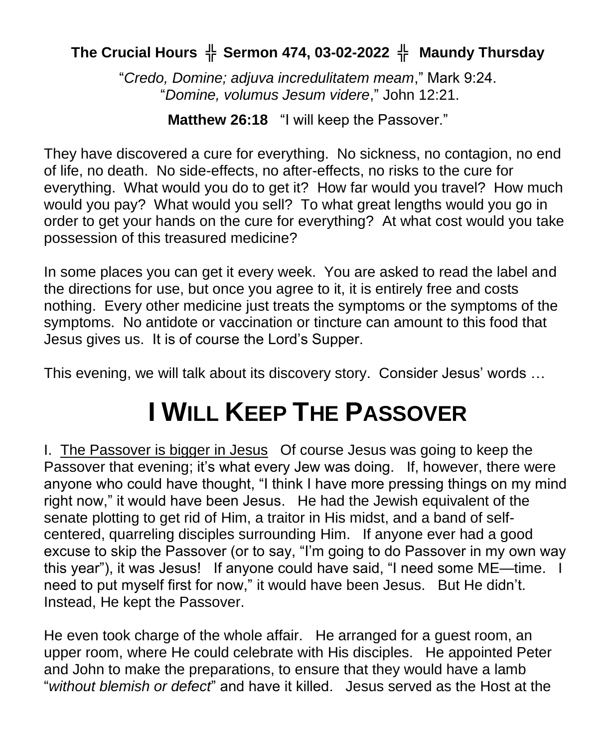## **The Crucial Hours** ╬ **Sermon 474, 03-02-2022** ╬ **Maundy Thursday**

"*Credo, Domine; adjuva incredulitatem meam*," Mark 9:24. "*Domine, volumus Jesum videre*," John 12:21.

**Matthew 26:18** "I will keep the Passover."

They have discovered a cure for everything. No sickness, no contagion, no end of life, no death. No side-effects, no after-effects, no risks to the cure for everything. What would you do to get it? How far would you travel? How much would you pay? What would you sell? To what great lengths would you go in order to get your hands on the cure for everything? At what cost would you take possession of this treasured medicine?

In some places you can get it every week. You are asked to read the label and the directions for use, but once you agree to it, it is entirely free and costs nothing. Every other medicine just treats the symptoms or the symptoms of the symptoms. No antidote or vaccination or tincture can amount to this food that Jesus gives us. It is of course the Lord's Supper.

This evening, we will talk about its discovery story. Consider Jesus' words …

## **I WILL KEEP THE PASSOVER**

I. The Passover is bigger in Jesus Of course Jesus was going to keep the Passover that evening; it's what every Jew was doing. If, however, there were anyone who could have thought, "I think I have more pressing things on my mind right now," it would have been Jesus. He had the Jewish equivalent of the senate plotting to get rid of Him, a traitor in His midst, and a band of selfcentered, quarreling disciples surrounding Him. If anyone ever had a good excuse to skip the Passover (or to say, "I'm going to do Passover in my own way this year"), it was Jesus! If anyone could have said, "I need some ME—time. I need to put myself first for now," it would have been Jesus. But He didn't. Instead, He kept the Passover.

He even took charge of the whole affair. He arranged for a guest room, an upper room, where He could celebrate with His disciples. He appointed Peter and John to make the preparations, to ensure that they would have a lamb "*without blemish or defect*" and have it killed. Jesus served as the Host at the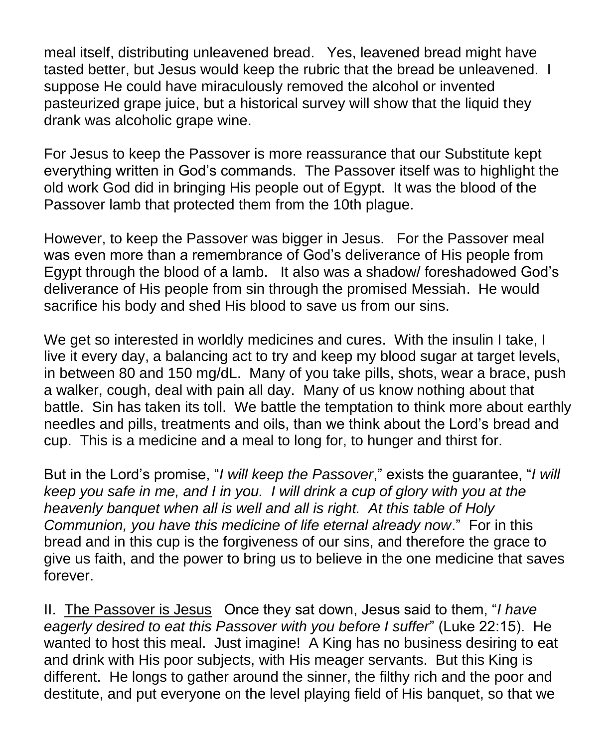meal itself, distributing unleavened bread. Yes, leavened bread might have tasted better, but Jesus would keep the rubric that the bread be unleavened. I suppose He could have miraculously removed the alcohol or invented pasteurized grape juice, but a historical survey will show that the liquid they drank was alcoholic grape wine.

For Jesus to keep the Passover is more reassurance that our Substitute kept everything written in God's commands. The Passover itself was to highlight the old work God did in bringing His people out of Egypt. It was the blood of the Passover lamb that protected them from the 10th plague.

However, to keep the Passover was bigger in Jesus. For the Passover meal was even more than a remembrance of God's deliverance of His people from Egypt through the blood of a lamb. It also was a shadow/ foreshadowed God's deliverance of His people from sin through the promised Messiah. He would sacrifice his body and shed His blood to save us from our sins.

We get so interested in worldly medicines and cures. With the insulin I take, I live it every day, a balancing act to try and keep my blood sugar at target levels, in between 80 and 150 mg/dL. Many of you take pills, shots, wear a brace, push a walker, cough, deal with pain all day. Many of us know nothing about that battle. Sin has taken its toll. We battle the temptation to think more about earthly needles and pills, treatments and oils, than we think about the Lord's bread and cup. This is a medicine and a meal to long for, to hunger and thirst for.

But in the Lord's promise, "*I will keep the Passover*," exists the guarantee, "*I will keep you safe in me, and I in you. I will drink a cup of glory with you at the heavenly banquet when all is well and all is right. At this table of Holy Communion, you have this medicine of life eternal already now*." For in this bread and in this cup is the forgiveness of our sins, and therefore the grace to give us faith, and the power to bring us to believe in the one medicine that saves forever.

II. The Passover is Jesus Once they sat down, Jesus said to them, "*I have eagerly desired to eat this Passover with you before I suffer*" (Luke 22:15). He wanted to host this meal. Just imagine! A King has no business desiring to eat and drink with His poor subjects, with His meager servants. But this King is different. He longs to gather around the sinner, the filthy rich and the poor and destitute, and put everyone on the level playing field of His banquet, so that we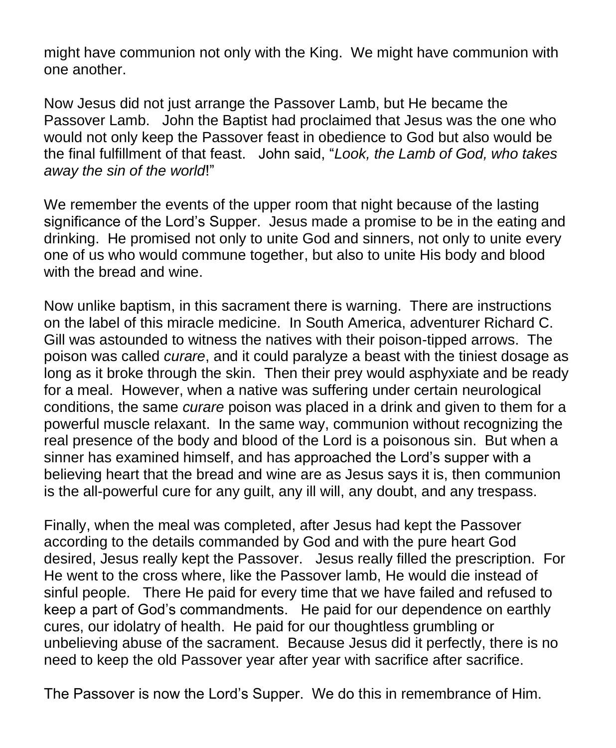might have communion not only with the King. We might have communion with one another.

Now Jesus did not just arrange the Passover Lamb, but He became the Passover Lamb. John the Baptist had proclaimed that Jesus was the one who would not only keep the Passover feast in obedience to God but also would be the final fulfillment of that feast. John said, "*Look, the Lamb of God, who takes away the sin of the world*!"

We remember the events of the upper room that night because of the lasting significance of the Lord's Supper. Jesus made a promise to be in the eating and drinking. He promised not only to unite God and sinners, not only to unite every one of us who would commune together, but also to unite His body and blood with the bread and wine.

Now unlike baptism, in this sacrament there is warning. There are instructions on the label of this miracle medicine. In South America, adventurer Richard C. Gill was astounded to witness the natives with their poison-tipped arrows. The poison was called *curare*, and it could paralyze a beast with the tiniest dosage as long as it broke through the skin. Then their prey would asphyxiate and be ready for a meal. However, when a native was suffering under certain neurological conditions, the same *curare* poison was placed in a drink and given to them for a powerful muscle relaxant. In the same way, communion without recognizing the real presence of the body and blood of the Lord is a poisonous sin. But when a sinner has examined himself, and has approached the Lord's supper with a believing heart that the bread and wine are as Jesus says it is, then communion is the all-powerful cure for any guilt, any ill will, any doubt, and any trespass.

Finally, when the meal was completed, after Jesus had kept the Passover according to the details commanded by God and with the pure heart God desired, Jesus really kept the Passover. Jesus really filled the prescription. For He went to the cross where, like the Passover lamb, He would die instead of sinful people. There He paid for every time that we have failed and refused to keep a part of God's commandments. He paid for our dependence on earthly cures, our idolatry of health. He paid for our thoughtless grumbling or unbelieving abuse of the sacrament. Because Jesus did it perfectly, there is no need to keep the old Passover year after year with sacrifice after sacrifice.

The Passover is now the Lord's Supper. We do this in remembrance of Him.